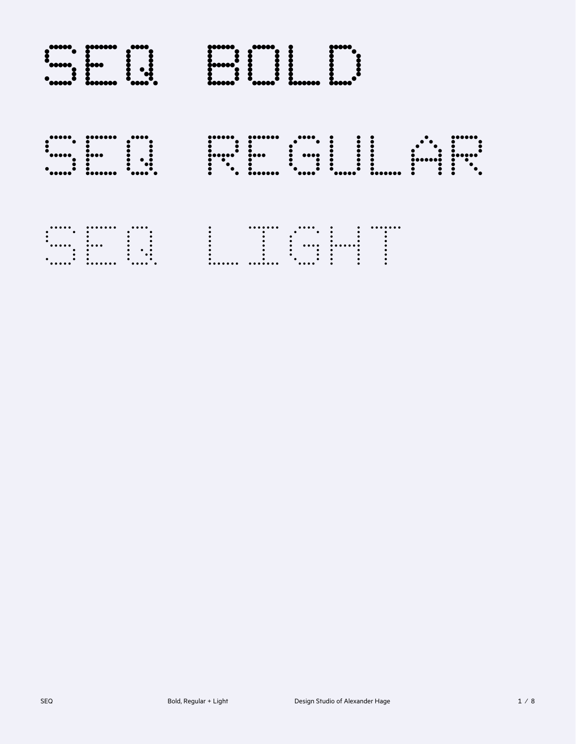|  | <b>EVALUE AND SURFACE AND SURFACE AND SURFACE AND SURFACE AND SURFACE AND SURFACE AND SURFACE AND SURFACE AND SURFACE AND SURFACE AND SURFACE AND SURFACE AND SURFACE AND SURFACE AND SURFACE AND SURFACE AND SURFACE AND SURFAC</b> |  |  |  |  |
|--|--------------------------------------------------------------------------------------------------------------------------------------------------------------------------------------------------------------------------------------|--|--|--|--|
|  |                                                                                                                                                                                                                                      |  |  |  |  |
|  |                                                                                                                                                                                                                                      |  |  |  |  |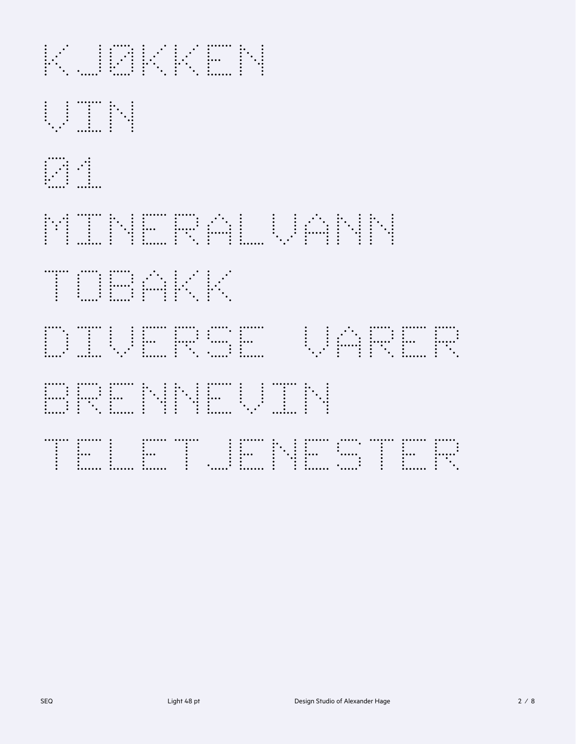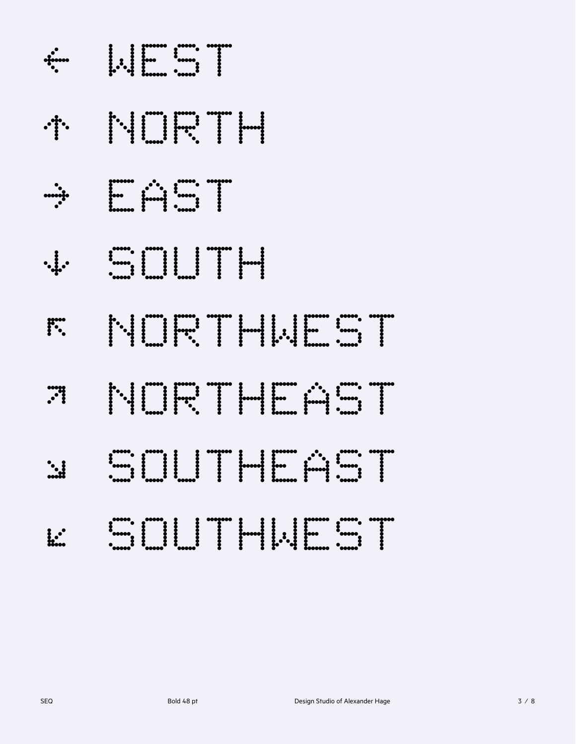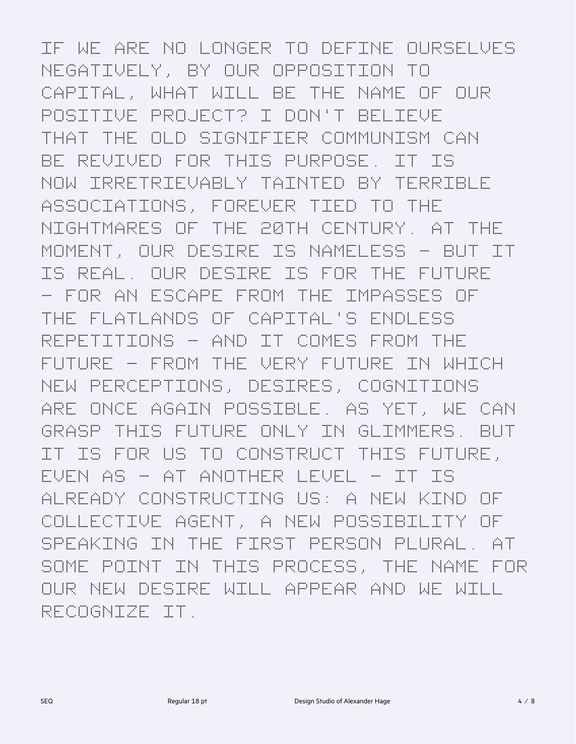If we are no longer to define ourselves negatively, by our opposition to Capital, what will be the name of our positive project? I don't believe that the old signifier communism can be revived for this purpose. It is now irretrievably tainted by terrible associations, forever tied to the nightmares of the 20th century. At the moment, our desire is nameless – but it is real. Our desire is for the future – for an escape from the impasses of the flatlands of Capital's endless repetitions – and it comes from the future – from the very future in which new perceptions, desires, cognitions are once again possible. As yet, we can grasp this future only in glimmers. But it is for us to construct this future, even as – at another level – it is already constructing us: a new kind of collective agent, a new possibility of speaking in the first person plural. At some point in this process, the name for our new desire will appear and we will recognize it.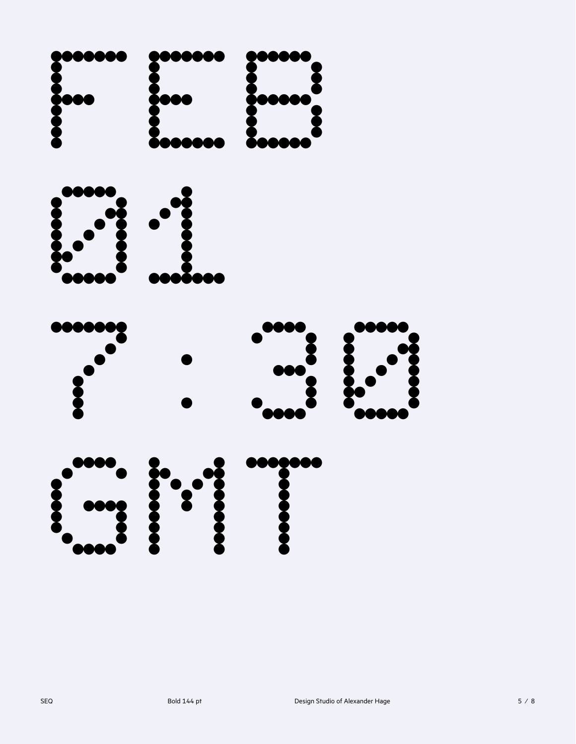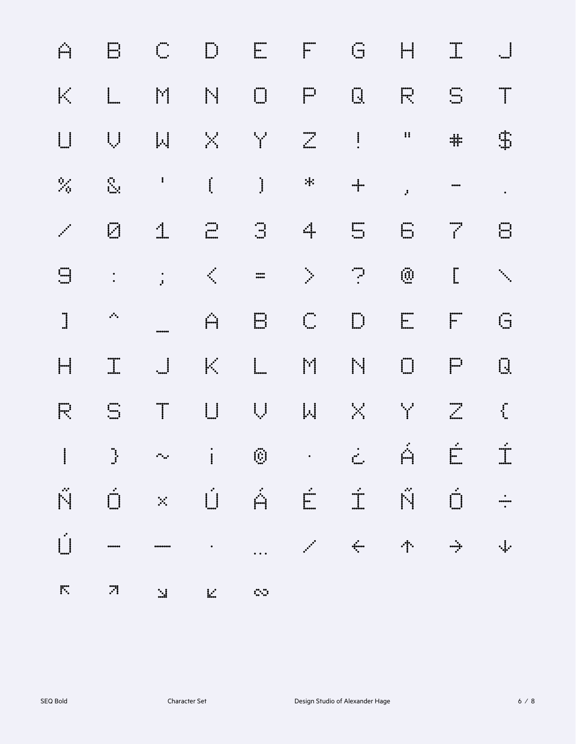| Ĥ                                                                                                                                                                                                                                                                                                                                                                                | $\Box$                                                                                                                                                                                                                                                                                                                          | $\int_{\cos \theta}^{\cos \theta}$                                                                                      |                                                                                                                                                                                         |                                                                                                                          | EF                                                                                                                                                                                                                                                                                                                                                              | $\overline{\mathbb{G}}$ and $\overline{\mathbb{G}}$                                                                                                                                                                                                                                                                              | $\left  \rule{0pt}{10pt} \right $                                                                                                                                                                                                                                                                                                                   | $\begin{tabular}{c} \hline \quad \quad \quad & \quad \quad \\ \hline \quad \quad & \quad \quad \\ \hline \quad \quad & \quad \quad \\ \hline \end{tabular}$ | $\begin{matrix} \vdots \\ \vdots \\ \vdots \\ \vdots \\ \vdots \end{matrix}$ |
|----------------------------------------------------------------------------------------------------------------------------------------------------------------------------------------------------------------------------------------------------------------------------------------------------------------------------------------------------------------------------------|---------------------------------------------------------------------------------------------------------------------------------------------------------------------------------------------------------------------------------------------------------------------------------------------------------------------------------|-------------------------------------------------------------------------------------------------------------------------|-----------------------------------------------------------------------------------------------------------------------------------------------------------------------------------------|--------------------------------------------------------------------------------------------------------------------------|-----------------------------------------------------------------------------------------------------------------------------------------------------------------------------------------------------------------------------------------------------------------------------------------------------------------------------------------------------------------|----------------------------------------------------------------------------------------------------------------------------------------------------------------------------------------------------------------------------------------------------------------------------------------------------------------------------------|-----------------------------------------------------------------------------------------------------------------------------------------------------------------------------------------------------------------------------------------------------------------------------------------------------------------------------------------------------|-------------------------------------------------------------------------------------------------------------------------------------------------------------|------------------------------------------------------------------------------|
| $\mathbb{R}^2$                                                                                                                                                                                                                                                                                                                                                                   | $\begin{matrix} \vdots \\ \vdots \\ \vdots \\ \vdots \end{matrix}$                                                                                                                                                                                                                                                              | İr                                                                                                                      | N                                                                                                                                                                                       | $\Box$                                                                                                                   | $\mathbb{P}$                                                                                                                                                                                                                                                                                                                                                    |                                                                                                                                                                                                                                                                                                                                  | $E_{\rm c}$                                                                                                                                                                                                                                                                                                                                         | $\sum_{i=1}^{n}$                                                                                                                                            | $\mathbb{T}$                                                                 |
|                                                                                                                                                                                                                                                                                                                                                                                  |                                                                                                                                                                                                                                                                                                                                 | $\left\vert . \right\vert$                                                                                              |                                                                                                                                                                                         | <b>学</b>                                                                                                                 |                                                                                                                                                                                                                                                                                                                                                                 | $\overline{z}$ . The set of $\overline{z}$                                                                                                                                                                                                                                                                                       | $\mathbf{H}$                                                                                                                                                                                                                                                                                                                                        | $\ddagger$                                                                                                                                                  | $\mathbb{I}$                                                                 |
|                                                                                                                                                                                                                                                                                                                                                                                  | $\sum_{i=1}^{n}$                                                                                                                                                                                                                                                                                                                | $\ddot{\phantom{a}}$                                                                                                    | $\mathbf{I}$                                                                                                                                                                            |                                                                                                                          | *                                                                                                                                                                                                                                                                                                                                                               | $\frac{1}{\cdot}$                                                                                                                                                                                                                                                                                                                | $\mathbf{r}$                                                                                                                                                                                                                                                                                                                                        | $\cdots$                                                                                                                                                    | $\mathcal{L}(\mathbf{r})$                                                    |
| <b></b>                                                                                                                                                                                                                                                                                                                                                                          | Ø                                                                                                                                                                                                                                                                                                                               | $\mathbb{I}$                                                                                                            | $\begin{bmatrix} 1 & 1 \\ 1 & 1 \\ 1 & 1 \end{bmatrix}$                                                                                                                                 |                                                                                                                          | 4                                                                                                                                                                                                                                                                                                                                                               | $\begin{bmatrix} 1 & 0 & 0 \\ 0 & 0 & 0 \\ 0 & 0 & 0 \\ 0 & 0 & 0 \\ 0 & 0 & 0 \\ 0 & 0 & 0 \\ 0 & 0 & 0 \\ 0 & 0 & 0 \\ 0 & 0 & 0 \\ 0 & 0 & 0 & 0 \\ 0 & 0 & 0 & 0 \\ 0 & 0 & 0 & 0 \\ 0 & 0 & 0 & 0 \\ 0 & 0 & 0 & 0 & 0 \\ 0 & 0 & 0 & 0 & 0 \\ 0 & 0 & 0 & 0 & 0 \\ 0 & 0 & 0 & 0 & 0 & 0 \\ 0 & 0 & 0 & 0 & 0 & 0 \\ 0 & $ | $\boxed{\frac{1}{2}}$                                                                                                                                                                                                                                                                                                                               | $\frac{1}{2}$                                                                                                                                               | $\Xi$                                                                        |
| $\Box$                                                                                                                                                                                                                                                                                                                                                                           | $\ddot{\cdot}$                                                                                                                                                                                                                                                                                                                  | $\frac{1}{3}$                                                                                                           | <b>Branch</b>                                                                                                                                                                           | *****<br>*****                                                                                                           | $\sum_{i=1}^{N} \frac{1}{i} \sum_{j=1}^{N} \frac{1}{j} \sum_{j=1}^{N} \frac{1}{j} \sum_{j=1}^{N} \frac{1}{j} \sum_{j=1}^{N} \frac{1}{j} \sum_{j=1}^{N} \frac{1}{j} \sum_{j=1}^{N} \frac{1}{j} \sum_{j=1}^{N} \frac{1}{j} \sum_{j=1}^{N} \frac{1}{j} \sum_{j=1}^{N} \frac{1}{j} \sum_{j=1}^{N} \frac{1}{j} \sum_{j=1}^{N} \frac{1}{j} \sum_{j=1}^{N} \frac{1}{j$ | $\begin{bmatrix} 1 & 1 \\ 1 & 1 \end{bmatrix}$                                                                                                                                                                                                                                                                                   | $\bar{\mathbb{Q}}$ .                                                                                                                                                                                                                                                                                                                                | $\overline{\mathbb{L}}$                                                                                                                                     |                                                                              |
| $\begin{array}{c} \rule{0pt}{2.5ex} \rule{0pt}{2.5ex} \rule{0pt}{2.5ex} \rule{0pt}{2.5ex} \rule{0pt}{2.5ex} \rule{0pt}{2.5ex} \rule{0pt}{2.5ex} \rule{0pt}{2.5ex} \rule{0pt}{2.5ex} \rule{0pt}{2.5ex} \rule{0pt}{2.5ex} \rule{0pt}{2.5ex} \rule{0pt}{2.5ex} \rule{0pt}{2.5ex} \rule{0pt}{2.5ex} \rule{0pt}{2.5ex} \rule{0pt}{2.5ex} \rule{0pt}{2.5ex} \rule{0pt}{2.5ex} \rule{0$ | $\mathcal{P}^{\bullet}$                                                                                                                                                                                                                                                                                                         |                                                                                                                         | Ĥ                                                                                                                                                                                       | $\Box$                                                                                                                   | $\int_{-\infty}^{\infty}$                                                                                                                                                                                                                                                                                                                                       |                                                                                                                                                                                                                                                                                                                                  | $\begin{bmatrix} 1 & 1 \\ 1 & 1 \\ 1 & 1 \end{bmatrix}$                                                                                                                                                                                                                                                                                             | $\mathbb{F}$                                                                                                                                                |                                                                              |
| $\left  \rule{0pt}{10pt}\right $                                                                                                                                                                                                                                                                                                                                                 |                                                                                                                                                                                                                                                                                                                                 | $\begin{array}{c} \begin{array}{c} \begin{array}{c} \begin{array}{c} \end{array}\\ \end{array} \end{array} \end{array}$ | $ \cdot $                                                                                                                                                                               | $\begin{array}{c} \begin{array}{c} \begin{array}{c} \end{array} \\ \begin{array}{c} \end{array} \end{array} \end{array}$ | $\begin{bmatrix} \mathbf{r}^{\prime} \\ \mathbf{r} \end{bmatrix}$                                                                                                                                                                                                                                                                                               | N.                                                                                                                                                                                                                                                                                                                               | $\begin{picture}(20,20) \put(0,0){\line(1,0){10}} \put(15,0){\line(1,0){10}} \put(15,0){\line(1,0){10}} \put(15,0){\line(1,0){10}} \put(15,0){\line(1,0){10}} \put(15,0){\line(1,0){10}} \put(15,0){\line(1,0){10}} \put(15,0){\line(1,0){10}} \put(15,0){\line(1,0){10}} \put(15,0){\line(1,0){10}} \put(15,0){\line(1,0){10}} \put(15,0){\line(1$ | $\Box$                                                                                                                                                      | $\prod_{i=1}^m$                                                              |
| F                                                                                                                                                                                                                                                                                                                                                                                | $\begin{bmatrix} 1 & 0 & 0 \\ 0 & 0 & 0 \\ 0 & 0 & 0 \\ 0 & 0 & 0 \\ 0 & 0 & 0 \\ 0 & 0 & 0 \\ 0 & 0 & 0 \\ 0 & 0 & 0 \\ 0 & 0 & 0 & 0 \\ 0 & 0 & 0 & 0 \\ 0 & 0 & 0 & 0 \\ 0 & 0 & 0 & 0 \\ 0 & 0 & 0 & 0 & 0 \\ 0 & 0 & 0 & 0 & 0 \\ 0 & 0 & 0 & 0 & 0 \\ 0 & 0 & 0 & 0 & 0 & 0 \\ 0 & 0 & 0 & 0 & 0 & 0 \\ 0 & 0 & 0 & 0 & $ | $\mathbb{T}$                                                                                                            |                                                                                                                                                                                         | $\bigcup_{i=1}^n \mathbb{Z}_i$                                                                                           | $ \mathbb{A} $                                                                                                                                                                                                                                                                                                                                                  | $\mathbb{R}^n$ .                                                                                                                                                                                                                                                                                                                 | Maria Baratonia<br>Maria Baratonia                                                                                                                                                                                                                                                                                                                  |                                                                                                                                                             | $\sum_{i=1}^{n}$                                                             |
|                                                                                                                                                                                                                                                                                                                                                                                  |                                                                                                                                                                                                                                                                                                                                 |                                                                                                                         | 1 } ~ i 0 · č Á É Í                                                                                                                                                                     |                                                                                                                          |                                                                                                                                                                                                                                                                                                                                                                 |                                                                                                                                                                                                                                                                                                                                  |                                                                                                                                                                                                                                                                                                                                                     |                                                                                                                                                             |                                                                              |
| Ń                                                                                                                                                                                                                                                                                                                                                                                |                                                                                                                                                                                                                                                                                                                                 |                                                                                                                         | Ó×ÚÁÉÍÑÓ                                                                                                                                                                                |                                                                                                                          |                                                                                                                                                                                                                                                                                                                                                                 |                                                                                                                                                                                                                                                                                                                                  |                                                                                                                                                                                                                                                                                                                                                     |                                                                                                                                                             |                                                                              |
|                                                                                                                                                                                                                                                                                                                                                                                  |                                                                                                                                                                                                                                                                                                                                 |                                                                                                                         | $\label{eq:2.1} \mathcal{L}_{\mathcal{A}}(\mathcal{A})=\mathcal{L}_{\mathcal{A}}(\mathcal{A})=\mathcal{L}_{\mathcal{A}}(\mathcal{A})=\mathcal{L}_{\mathcal{A}}(\mathcal{A})\mathcal{A}$ |                                                                                                                          |                                                                                                                                                                                                                                                                                                                                                                 |                                                                                                                                                                                                                                                                                                                                  | 小                                                                                                                                                                                                                                                                                                                                                   | $\frac{1}{\sqrt{2}}$                                                                                                                                        | $\cdot$ .                                                                    |
| $\overline{\mathbf{r}}$                                                                                                                                                                                                                                                                                                                                                          |                                                                                                                                                                                                                                                                                                                                 |                                                                                                                         | <b>SAN BELLEY AND SERVICE</b>                                                                                                                                                           |                                                                                                                          |                                                                                                                                                                                                                                                                                                                                                                 |                                                                                                                                                                                                                                                                                                                                  |                                                                                                                                                                                                                                                                                                                                                     |                                                                                                                                                             |                                                                              |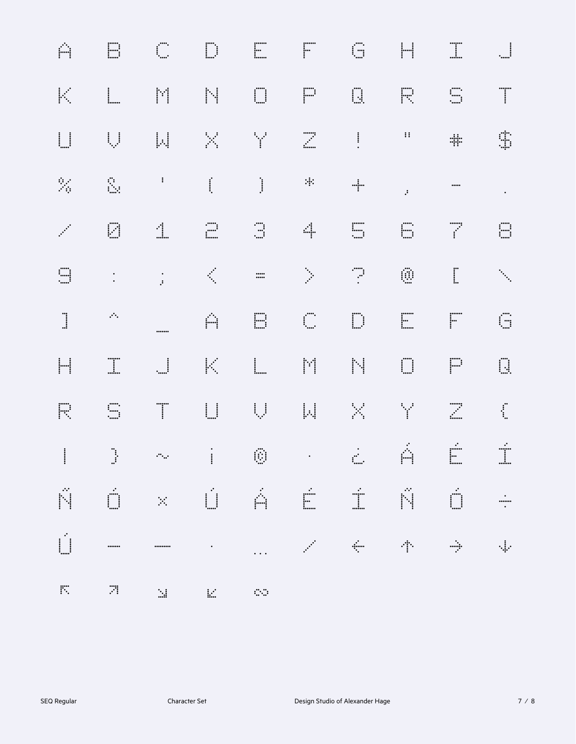| Ĥ                                                                                                                        |                                                                                                                                                                                                                                                                                                                                                  | $\int_{-\infty}^{\infty}$                                                                 |                                                          |                                                                     | $\begin{tabular}{ll} \hline \quad \quad & \quad \quad & \quad \quad \\ \hline \quad \quad & \quad \quad & \quad \quad \\ \hline \end{tabular}$                                                                                 |                                                                                                                  |                                                | $\begin{bmatrix} \vdots \\ \vdots \\ \vdots \\ \vdots \end{bmatrix}$ |                                                              |
|--------------------------------------------------------------------------------------------------------------------------|--------------------------------------------------------------------------------------------------------------------------------------------------------------------------------------------------------------------------------------------------------------------------------------------------------------------------------------------------|-------------------------------------------------------------------------------------------|----------------------------------------------------------|---------------------------------------------------------------------|--------------------------------------------------------------------------------------------------------------------------------------------------------------------------------------------------------------------------------|------------------------------------------------------------------------------------------------------------------|------------------------------------------------|----------------------------------------------------------------------|--------------------------------------------------------------|
| K                                                                                                                        | $\begin{bmatrix} \vdots \\ \vdots \\ \vdots \\ \vdots \end{bmatrix}$                                                                                                                                                                                                                                                                             | I                                                                                         | <b>IN</b>                                                | $\begin{bmatrix} 1 & 1 \\ 1 & 1 \\ 1 & 1 \end{bmatrix}$             |                                                                                                                                                                                                                                | $\begin{bmatrix} 1 \\ 1 \end{bmatrix}$                                                                           |                                                |                                                                      |                                                              |
| $\begin{array}{c} \begin{array}{c} \begin{array}{c} \begin{array}{c} \end{array} \\ \end{array} \end{array} \end{array}$ |                                                                                                                                                                                                                                                                                                                                                  | $\left\vert \mu \right\vert$                                                              | $\mathbb{R}^2$                                           | $\frac{1}{2}$                                                       |                                                                                                                                                                                                                                | $\vdots$                                                                                                         | $\mathbf{H}$                                   | $\frac{1}{2}$                                                        |                                                              |
|                                                                                                                          | Ë.                                                                                                                                                                                                                                                                                                                                               | $\ddot{\cdot}$                                                                            |                                                          |                                                                     | $\mathcal{H}$                                                                                                                                                                                                                  |                                                                                                                  | $\ddot{\cdot}$                                 | $\cdots$                                                             |                                                              |
| فليمنى                                                                                                                   | E                                                                                                                                                                                                                                                                                                                                                | $\ddot{\mathbf{u}}$                                                                       | $\begin{bmatrix} \ldots \\ \ldots \end{bmatrix}$         |                                                                     | 4                                                                                                                                                                                                                              | $\begin{matrix}\n\vdots & \vdots & \vdots \\ \vdots & \ddots & \vdots \\ \vdots & \ddots & \vdots\n\end{matrix}$ | $\begin{bmatrix} \dots \\ \dots \end{bmatrix}$ | $\frac{1}{2}$                                                        |                                                              |
|                                                                                                                          | $\ddot{\cdot}$                                                                                                                                                                                                                                                                                                                                   | $\frac{1}{2}$                                                                             |                                                          | $\ldots$                                                            |                                                                                                                                                                                                                                |                                                                                                                  |                                                | $\prod_{i=1}^{n}$                                                    |                                                              |
|                                                                                                                          | $\mathcal{P}_\bullet$                                                                                                                                                                                                                                                                                                                            |                                                                                           | Ĥ                                                        | <b>E</b>                                                            | $\begin{bmatrix} 0 \\ 0 \\ 0 \end{bmatrix}$                                                                                                                                                                                    | $\begin{bmatrix} 1 & 1 \\ 1 & 1 \end{bmatrix}$                                                                   |                                                |                                                                      | $\bar{\mathbb{G}}$                                           |
|                                                                                                                          | $\begin{array}{c}\n\ldots \\ \ldots\n\end{array}$                                                                                                                                                                                                                                                                                                |                                                                                           | $ \epsilon $                                             | $\begin{array}{c} \vdots \\ \vdots \\ \vdots \\ \vdots \end{array}$ | <b>Fill</b>                                                                                                                                                                                                                    | <b>hi</b>                                                                                                        |                                                |                                                                      | <b>II</b>                                                    |
| F                                                                                                                        | $\begin{array}{c}\n\ldots \\ \ldots\n\end{array}$                                                                                                                                                                                                                                                                                                | $\begin{array}{c} \begin{array}{c} \text{}\\ \text{}\\ \text{}\\ \end{array} \end{array}$ | $\begin{matrix} \vdots \\ \vdots \\ \vdots \end{matrix}$ |                                                                     |                                                                                                                                                                                                                                | $\mathbb{R}^{\mathbb{Z}}$                                                                                        |                                                |                                                                      | $\int_{\frac{1}{2}}^{\frac{1}{2}}$                           |
|                                                                                                                          |                                                                                                                                                                                                                                                                                                                                                  |                                                                                           |                                                          |                                                                     |                                                                                                                                                                                                                                |                                                                                                                  |                                                |                                                                      |                                                              |
|                                                                                                                          |                                                                                                                                                                                                                                                                                                                                                  |                                                                                           |                                                          |                                                                     |                                                                                                                                                                                                                                |                                                                                                                  |                                                | ŇÓ×ÚÁÉÍŇÓ                                                            | $\begin{array}{c} \bullet \\ \bullet \\ \bullet \end{array}$ |
|                                                                                                                          | $\begin{picture}(100,20)(0,0) \put(0,0){\line(1,0){10}} \put(10,0){\line(1,0){10}} \put(10,0){\line(1,0){10}} \put(10,0){\line(1,0){10}} \put(10,0){\line(1,0){10}} \put(10,0){\line(1,0){10}} \put(10,0){\line(1,0){10}} \put(10,0){\line(1,0){10}} \put(10,0){\line(1,0){10}} \put(10,0){\line(1,0){10}} \put(10,0){\line(1,0){10}} \put(10,0$ |                                                                                           |                                                          |                                                                     | and the company of the second the second the second second the second second the second second second second second second second second second second second second second second second second second second second second s |                                                                                                                  | 专一个                                            |                                                                      | $\frac{1}{2}$                                                |
| $\mathbb{R}^n$                                                                                                           | $\mathbb{R}^2$                                                                                                                                                                                                                                                                                                                                   | $\sim 10^{11}$ M                                                                          | $\mathbb{R}^2 \times \mathbb{R}^2$                       | <b>Service</b>                                                      |                                                                                                                                                                                                                                |                                                                                                                  |                                                |                                                                      |                                                              |